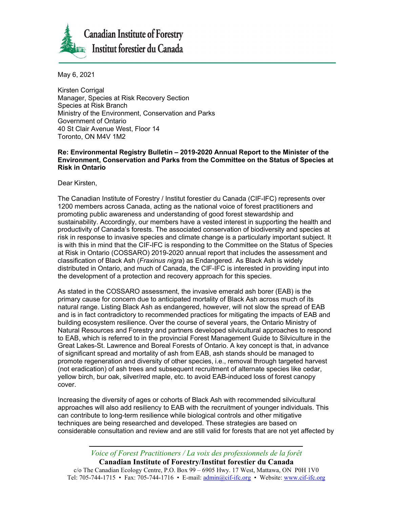

May 6, 2021

Kirsten Corrigal Manager, Species at Risk Recovery Section Species at Risk Branch Ministry of the Environment, Conservation and Parks Government of Ontario 40 St Clair Avenue West, Floor 14 Toronto, ON M4V 1M2

## **Re: Environmental Registry Bulletin – 2019-2020 Annual Report to the Minister of the Environment, Conservation and Parks from the Committee on the Status of Species at Risk in Ontario**

Dear Kirsten,

The Canadian Institute of Forestry / Institut forestier du Canada (CIF-IFC) represents over 1200 members across Canada, acting as the national voice of forest practitioners and promoting public awareness and understanding of good forest stewardship and sustainability. Accordingly, our members have a vested interest in supporting the health and productivity of Canada's forests. The associated conservation of biodiversity and species at risk in response to invasive species and climate change is a particularly important subject. It is with this in mind that the CIF-IFC is responding to the Committee on the Status of Species at Risk in Ontario (COSSARO) 2019-2020 annual report that includes the assessment and classification of Black Ash (*Fraxinus nigra*) as Endangered. As Black Ash is widely distributed in Ontario, and much of Canada, the CIF-IFC is interested in providing input into the development of a protection and recovery approach for this species.

As stated in the COSSARO assessment, the invasive emerald ash borer (EAB) is the primary cause for concern due to anticipated mortality of Black Ash across much of its natural range. Listing Black Ash as endangered, however, will not slow the spread of EAB and is in fact contradictory to recommended practices for mitigating the impacts of EAB and building ecosystem resilience. Over the course of several years, the Ontario Ministry of Natural Resources and Forestry and partners developed silvicultural approaches to respond to EAB, which is referred to in the provincial Forest Management Guide to Silviculture in the Great Lakes-St. Lawrence and Boreal Forests of Ontario. A key concept is that, in advance of significant spread and mortality of ash from EAB, ash stands should be managed to promote regeneration and diversity of other species, i.e., removal through targeted harvest (not eradication) of ash trees and subsequent recruitment of alternate species like cedar, yellow birch, bur oak, silver/red maple, etc. to avoid EAB-induced loss of forest canopy cover.

Increasing the diversity of ages or cohorts of Black Ash with recommended silvicultural approaches will also add resiliency to EAB with the recruitment of younger individuals. This can contribute to long-term resilience while biological controls and other mitigative techniques are being researched and developed. These strategies are based on considerable consultation and review and are still valid for forests that are not yet affected by

*Voice of Forest Practitioners / La voix des professionnels de la forêt*

**Canadian Institute of Forestry/Institut forestier du Canada** c/o The Canadian Ecology Centre, P.O. Box 99 – 6905 Hwy. 17 West, Mattawa, ON P0H 1V0 Tel: 705-744-1715 • Fax: 705-744-1716 • E-mail[: admin@cif-ifc.org](mailto:admin@cif-ifc.org) • Website[: www.cif-ifc.org](http://www.cif-ifc.org/)